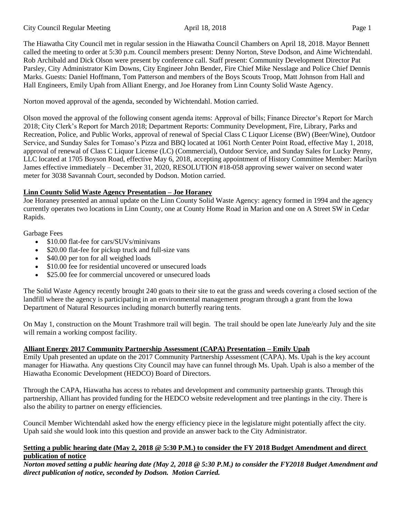The Hiawatha City Council met in regular session in the Hiawatha Council Chambers on April 18, 2018. Mayor Bennett called the meeting to order at 5:30 p.m. Council members present: Denny Norton, Steve Dodson, and Aime Wichtendahl. Rob Archibald and Dick Olson were present by conference call. Staff present: Community Development Director Pat Parsley, City Administrator Kim Downs, City Engineer John Bender, Fire Chief Mike Nesslage and Police Chief Dennis Marks. Guests: Daniel Hoffmann, Tom Patterson and members of the Boys Scouts Troop, Matt Johnson from Hall and Hall Engineers, Emily Upah from Alliant Energy, and Joe Horaney from Linn County Solid Waste Agency.

Norton moved approval of the agenda, seconded by Wichtendahl. Motion carried.

Olson moved the approval of the following consent agenda items: Approval of bills; Finance Director's Report for March 2018; City Clerk's Report for March 2018; Department Reports: Community Development, Fire, Library, Parks and Recreation, Police, and Public Works, approval of renewal of Special Class C Liquor License (BW) (Beer/Wine), Outdoor Service, and Sunday Sales for Tomaso's Pizza and BBQ located at 1061 North Center Point Road, effective May 1, 2018, approval of renewal of Class C Liquor License (LC) (Commercial), Outdoor Service, and Sunday Sales for Lucky Penny, LLC located at 1705 Boyson Road, effective May 6, 2018, accepting appointment of History Committee Member: Marilyn James effective immediately – December 31, 2020, RESOLUTION #18-058 approving sewer waiver on second water meter for 3038 Savannah Court, seconded by Dodson. Motion carried.

# **Linn County Solid Waste Agency Presentation – Joe Horaney**

Joe Horaney presented an annual update on the Linn County Solid Waste Agency: agency formed in 1994 and the agency currently operates two locations in Linn County, one at County Home Road in Marion and one on A Street SW in Cedar Rapids.

Garbage Fees

- \$10.00 flat-fee for cars/SUVs/minivans
- \$20.00 flat-fee for pickup truck and full-size vans
- \$40.00 per ton for all weighed loads
- \$10.00 fee for residential uncovered or unsecured loads
- \$25.00 fee for commercial uncovered or unsecured loads

The Solid Waste Agency recently brought 240 goats to their site to eat the grass and weeds covering a closed section of the landfill where the agency is participating in an environmental management program through a grant from the Iowa Department of Natural Resources including monarch butterfly rearing tents.

On May 1, construction on the Mount Trashmore trail will begin. The trail should be open late June/early July and the site will remain a working compost facility.

# **Alliant Energy 2017 Community Partnership Assessment (CAPA) Presentation – Emily Upah**

Emily Upah presented an update on the 2017 Community Partnership Assessment (CAPA). Ms. Upah is the key account manager for Hiawatha. Any questions City Council may have can funnel through Ms. Upah. Upah is also a member of the Hiawatha Economic Development (HEDCO) Board of Directors.

Through the CAPA, Hiawatha has access to rebates and development and community partnership grants. Through this partnership, Alliant has provided funding for the HEDCO website redevelopment and tree plantings in the city. There is also the ability to partner on energy efficiencies.

Council Member Wichtendahl asked how the energy efficiency piece in the legislature might potentially affect the city. Upah said she would look into this question and provide an answer back to the City Administrator.

## **Setting a public hearing date (May 2, 2018 @ 5:30 P.M.) to consider the FY 2018 Budget Amendment and direct publication of notice**

*Norton moved setting a public hearing date (May 2, 2018 @ 5:30 P.M.) to consider the FY2018 Budget Amendment and direct publication of notice, seconded by Dodson. Motion Carried.*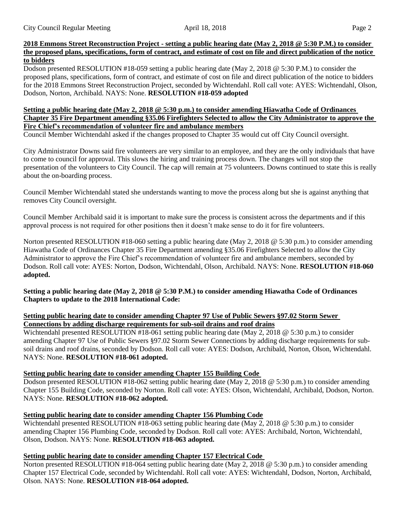### **2018 Emmons Street Reconstruction Project - setting a public hearing date (May 2, 2018 @ 5:30 P.M.) to consider the proposed plans, specifications, form of contract, and estimate of cost on file and direct publication of the notice to bidders**

Dodson presented RESOLUTION #18-059 setting a public hearing date (May 2, 2018 @ 5:30 P.M.) to consider the proposed plans, specifications, form of contract, and estimate of cost on file and direct publication of the notice to bidders for the 2018 Emmons Street Reconstruction Project, seconded by Wichtendahl. Roll call vote: AYES: Wichtendahl, Olson, Dodson, Norton, Archibald. NAYS: None. **RESOLUTION #18-059 adopted**

### **Setting a public hearing date (May 2, 2018 @ 5:30 p.m.) to consider amending Hiawatha Code of Ordinances Chapter 35 Fire Department amending §35.06 Firefighters Selected to allow the City Administrator to approve the Fire Chief's recommendation of volunteer fire and ambulance members**

Council Member Wichtendahl asked if the changes proposed to Chapter 35 would cut off City Council oversight.

City Administrator Downs said fire volunteers are very similar to an employee, and they are the only individuals that have to come to council for approval. This slows the hiring and training process down. The changes will not stop the presentation of the volunteers to City Council. The cap will remain at 75 volunteers. Downs continued to state this is really about the on-boarding process.

Council Member Wichtendahl stated she understands wanting to move the process along but she is against anything that removes City Council oversight.

Council Member Archibald said it is important to make sure the process is consistent across the departments and if this approval process is not required for other positions then it doesn't make sense to do it for fire volunteers.

Norton presented RESOLUTION #18-060 setting a public hearing date (May 2, 2018 @ 5:30 p.m.) to consider amending Hiawatha Code of Ordinances Chapter 35 Fire Department amending §35.06 Firefighters Selected to allow the City Administrator to approve the Fire Chief's recommendation of volunteer fire and ambulance members, seconded by Dodson. Roll call vote: AYES: Norton, Dodson, Wichtendahl, Olson, Archibald. NAYS: None. **RESOLUTION #18-060 adopted.**

**Setting a public hearing date (May 2, 2018 @ 5:30 P.M.) to consider amending Hiawatha Code of Ordinances Chapters to update to the 2018 International Code:**

### **Setting public hearing date to consider amending Chapter 97 Use of Public Sewers §97.02 Storm Sewer Connections by adding discharge requirements for sub-soil drains and roof drains**

Wichtendahl presented RESOLUTION #18-061 setting public hearing date (May 2, 2018 @ 5:30 p.m.) to consider amending Chapter 97 Use of Public Sewers §97.02 Storm Sewer Connections by adding discharge requirements for subsoil drains and roof drains, seconded by Dodson. Roll call vote: AYES: Dodson, Archibald, Norton, Olson, Wichtendahl. NAYS: None. **RESOLUTION #18-061 adopted.**

## **Setting public hearing date to consider amending Chapter 155 Building Code**

Dodson presented RESOLUTION #18-062 setting public hearing date (May 2, 2018 @ 5:30 p.m.) to consider amending Chapter 155 Building Code, seconded by Norton. Roll call vote: AYES: Olson, Wichtendahl, Archibald, Dodson, Norton. NAYS: None. **RESOLUTION #18-062 adopted.**

## **Setting public hearing date to consider amending Chapter 156 Plumbing Code**

Wichtendahl presented RESOLUTION #18-063 setting public hearing date (May 2, 2018 @ 5:30 p.m.) to consider amending Chapter 156 Plumbing Code, seconded by Dodson. Roll call vote: AYES: Archibald, Norton, Wichtendahl, Olson, Dodson. NAYS: None. **RESOLUTION #18-063 adopted.**

## **Setting public hearing date to consider amending Chapter 157 Electrical Code**

Norton presented RESOLUTION #18-064 setting public hearing date (May 2, 2018 @ 5:30 p.m.) to consider amending Chapter 157 Electrical Code, seconded by Wichtendahl. Roll call vote: AYES: Wichtendahl, Dodson, Norton, Archibald, Olson. NAYS: None. **RESOLUTION #18-064 adopted.**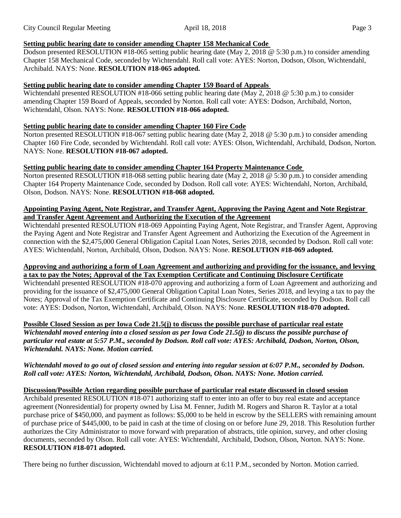# **Setting public hearing date to consider amending Chapter 158 Mechanical Code**

Dodson presented RESOLUTION #18-065 setting public hearing date (May 2, 2018 @ 5:30 p.m.) to consider amending Chapter 158 Mechanical Code, seconded by Wichtendahl. Roll call vote: AYES: Norton, Dodson, Olson, Wichtendahl, Archibald. NAYS: None. **RESOLUTION #18-065 adopted.**

## **Setting public hearing date to consider amending Chapter 159 Board of Appeals**

Wichtendahl presented RESOLUTION #18-066 setting public hearing date (May 2, 2018 @ 5:30 p.m.) to consider amending Chapter 159 Board of Appeals, seconded by Norton. Roll call vote: AYES: Dodson, Archibald, Norton, Wichtendahl, Olson. NAYS: None. **RESOLUTION #18-066 adopted.**

## **Setting public hearing date to consider amending Chapter 160 Fire Code**

Norton presented RESOLUTION #18-067 setting public hearing date (May 2, 2018 @ 5:30 p.m.) to consider amending Chapter 160 Fire Code, seconded by Wichtendahl. Roll call vote: AYES: Olson, Wichtendahl, Archibald, Dodson, Norton. NAYS: None. **RESOLUTION #18-067 adopted.**

## **Setting public hearing date to consider amending Chapter 164 Property Maintenance Code**

Norton presented RESOLUTION #18-068 setting public hearing date (May 2, 2018 @ 5:30 p.m.) to consider amending Chapter 164 Property Maintenance Code, seconded by Dodson. Roll call vote: AYES: Wichtendahl, Norton, Archibald, Olson, Dodson. NAYS: None. **RESOLUTION #18-068 adopted.**

### **Appointing Paying Agent, Note Registrar, and Transfer Agent, Approving the Paying Agent and Note Registrar and Transfer Agent Agreement and Authorizing the Execution of the Agreement**

Wichtendahl presented RESOLUTION #18-069 Appointing Paying Agent, Note Registrar, and Transfer Agent, Approving the Paying Agent and Note Registrar and Transfer Agent Agreement and Authorizing the Execution of the Agreement in connection with the \$2,475,000 General Obligation Capital Loan Notes, Series 2018, seconded by Dodson. Roll call vote: AYES: Wichtendahl, Norton, Archibald, Olson, Dodson. NAYS: None. **RESOLUTION #18-069 adopted.**

## **Approving and authorizing a form of Loan Agreement and authorizing and providing for the issuance, and levying a tax to pay the Notes; Approval of the Tax Exemption Certificate and Continuing Disclosure Certificate**

Wichtendahl presented RESOLUTION #18-070 approving and authorizing a form of Loan Agreement and authorizing and providing for the issuance of \$2,475,000 General Obligation Capital Loan Notes, Series 2018, and levying a tax to pay the Notes; Approval of the Tax Exemption Certificate and Continuing Disclosure Certificate, seconded by Dodson. Roll call vote: AYES: Dodson, Norton, Wichtendahl, Archibald, Olson. NAYS: None. **RESOLUTION #18-070 adopted.**

**Possible Closed Session as per Iowa Code 21.5(j) to discuss the possible purchase of particular real estate** *Wichtendahl moved entering into a closed session as per Iowa Code 21.5(j) to discuss the possible purchase of particular real estate at 5:57 P.M., seconded by Dodson. Roll call vote: AYES: Archibald, Dodson, Norton, Olson, Wichtendahl. NAYS: None. Motion carried.*

## *Wichtendahl moved to go out of closed session and entering into regular session at 6:07 P.M., seconded by Dodson. Roll call vote: AYES: Norton, Wichtendahl, Archibald, Dodson, Olson. NAYS: None. Motion carried.*

# **Discussion/Possible Action regarding possible purchase of particular real estate discussed in closed session**

Archibald presented RESOLUTION #18-071 authorizing staff to enter into an offer to buy real estate and acceptance agreement (Nonresidential) for property owned by Lisa M. Fenner, Judith M. Rogers and Sharon R. Taylor at a total purchase price of \$450,000, and payment as follows: \$5,000 to be held in escrow by the SELLERS with remaining amount of purchase price of \$445,000, to be paid in cash at the time of closing on or before June 29, 2018. This Resolution further authorizes the City Administrator to move forward with preparation of abstracts, title opinion, survey, and other closing documents, seconded by Olson. Roll call vote: AYES: Wichtendahl, Archibald, Dodson, Olson, Norton. NAYS: None. **RESOLUTION #18-071 adopted.**

There being no further discussion, Wichtendahl moved to adjourn at 6:11 P.M., seconded by Norton. Motion carried.